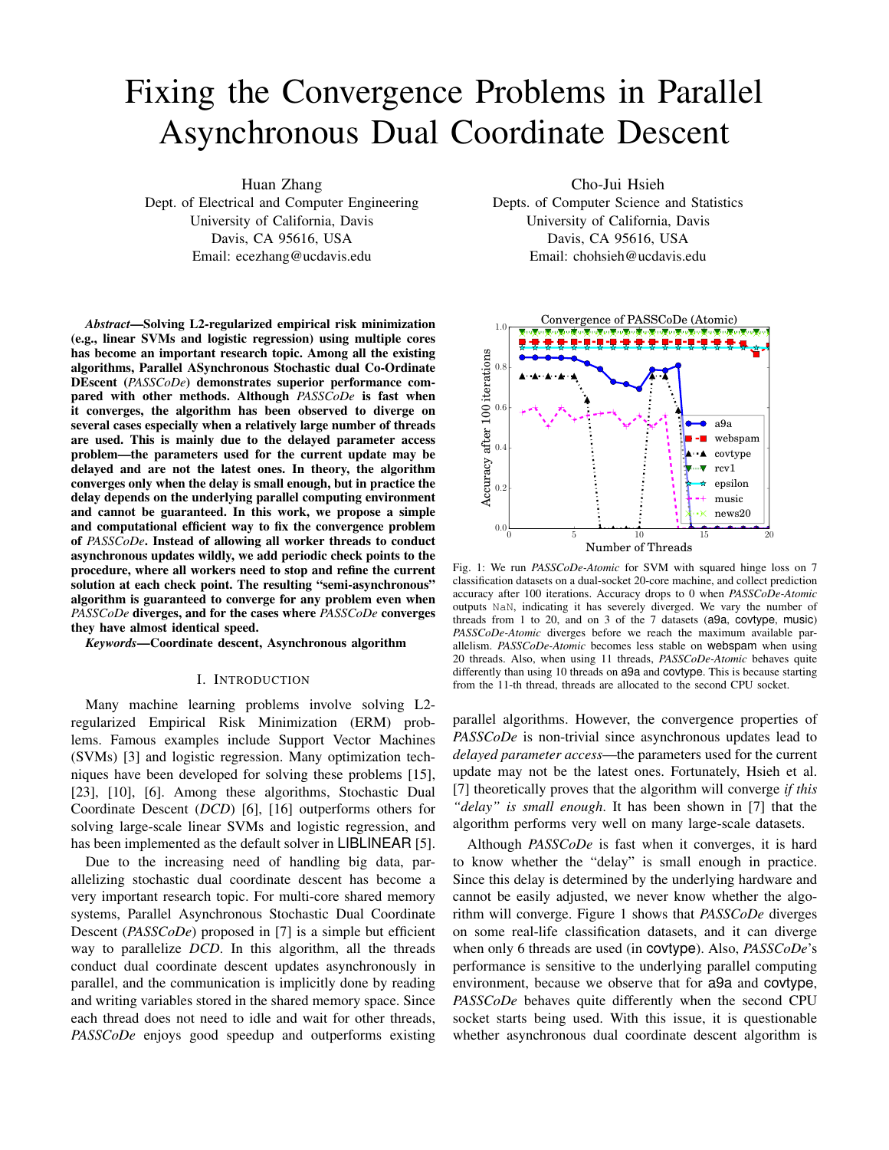# Fixing the Convergence Problems in Parallel Asynchronous Dual Coordinate Descent

Huan Zhang

Dept. of Electrical and Computer Engineering University of California, Davis Davis, CA 95616, USA Email: ecezhang@ucdavis.edu

*Abstract*—Solving L2-regularized empirical risk minimization (e.g., linear SVMs and logistic regression) using multiple cores has become an important research topic. Among all the existing algorithms, Parallel ASynchronous Stochastic dual Co-Ordinate DEscent (*PASSCoDe*) demonstrates superior performance compared with other methods. Although *PASSCoDe* is fast when it converges, the algorithm has been observed to diverge on several cases especially when a relatively large number of threads are used. This is mainly due to the delayed parameter access problem—the parameters used for the current update may be delayed and are not the latest ones. In theory, the algorithm converges only when the delay is small enough, but in practice the delay depends on the underlying parallel computing environment and cannot be guaranteed. In this work, we propose a simple and computational efficient way to fix the convergence problem of *PASSCoDe*. Instead of allowing all worker threads to conduct asynchronous updates wildly, we add periodic check points to the procedure, where all workers need to stop and refine the current solution at each check point. The resulting "semi-asynchronous" algorithm is guaranteed to converge for any problem even when *PASSCoDe* diverges, and for the cases where *PASSCoDe* converges they have almost identical speed.

*Keywords*—Coordinate descent, Asynchronous algorithm

#### I. INTRODUCTION

Many machine learning problems involve solving L2 regularized Empirical Risk Minimization (ERM) problems. Famous examples include Support Vector Machines (SVMs) [3] and logistic regression. Many optimization techniques have been developed for solving these problems [15], [23], [10], [6]. Among these algorithms, Stochastic Dual Coordinate Descent (*DCD*) [6], [16] outperforms others for solving large-scale linear SVMs and logistic regression, and has been implemented as the default solver in **LIBLINEAR** [5].

Due to the increasing need of handling big data, parallelizing stochastic dual coordinate descent has become a very important research topic. For multi-core shared memory systems, Parallel Asynchronous Stochastic Dual Coordinate Descent (*PASSCoDe*) proposed in [7] is a simple but efficient way to parallelize *DCD*. In this algorithm, all the threads conduct dual coordinate descent updates asynchronously in parallel, and the communication is implicitly done by reading and writing variables stored in the shared memory space. Since each thread does not need to idle and wait for other threads, *PASSCoDe* enjoys good speedup and outperforms existing

Cho-Jui Hsieh

Depts. of Computer Science and Statistics University of California, Davis Davis, CA 95616, USA Email: chohsieh@ucdavis.edu



Fig. 1: We run *PASSCoDe-Atomic* for SVM with squared hinge loss on 7 classification datasets on a dual-socket 20-core machine, and collect prediction accuracy after 100 iterations. Accuracy drops to 0 when *PASSCoDe-Atomic* outputs NaN, indicating it has severely diverged. We vary the number of threads from 1 to 20, and on 3 of the 7 datasets (a9a, covtype, music) *PASSCoDe-Atomic* diverges before we reach the maximum available parallelism. *PASSCoDe-Atomic* becomes less stable on webspam when using 20 threads. Also, when using 11 threads, *PASSCoDe-Atomic* behaves quite differently than using 10 threads on a9a and covtype. This is because starting from the 11-th thread, threads are allocated to the second CPU socket.

parallel algorithms. However, the convergence properties of *PASSCoDe* is non-trivial since asynchronous updates lead to *delayed parameter access*—the parameters used for the current update may not be the latest ones. Fortunately, Hsieh et al. [7] theoretically proves that the algorithm will converge *if this "delay" is small enough*. It has been shown in [7] that the algorithm performs very well on many large-scale datasets.

Although *PASSCoDe* is fast when it converges, it is hard to know whether the "delay" is small enough in practice. Since this delay is determined by the underlying hardware and cannot be easily adjusted, we never know whether the algorithm will converge. Figure 1 shows that *PASSCoDe* diverges on some real-life classification datasets, and it can diverge when only 6 threads are used (in covtype). Also, *PASSCoDe*'s performance is sensitive to the underlying parallel computing environment, because we observe that for a9a and covtype, *PASSCoDe* behaves quite differently when the second CPU socket starts being used. With this issue, it is questionable whether asynchronous dual coordinate descent algorithm is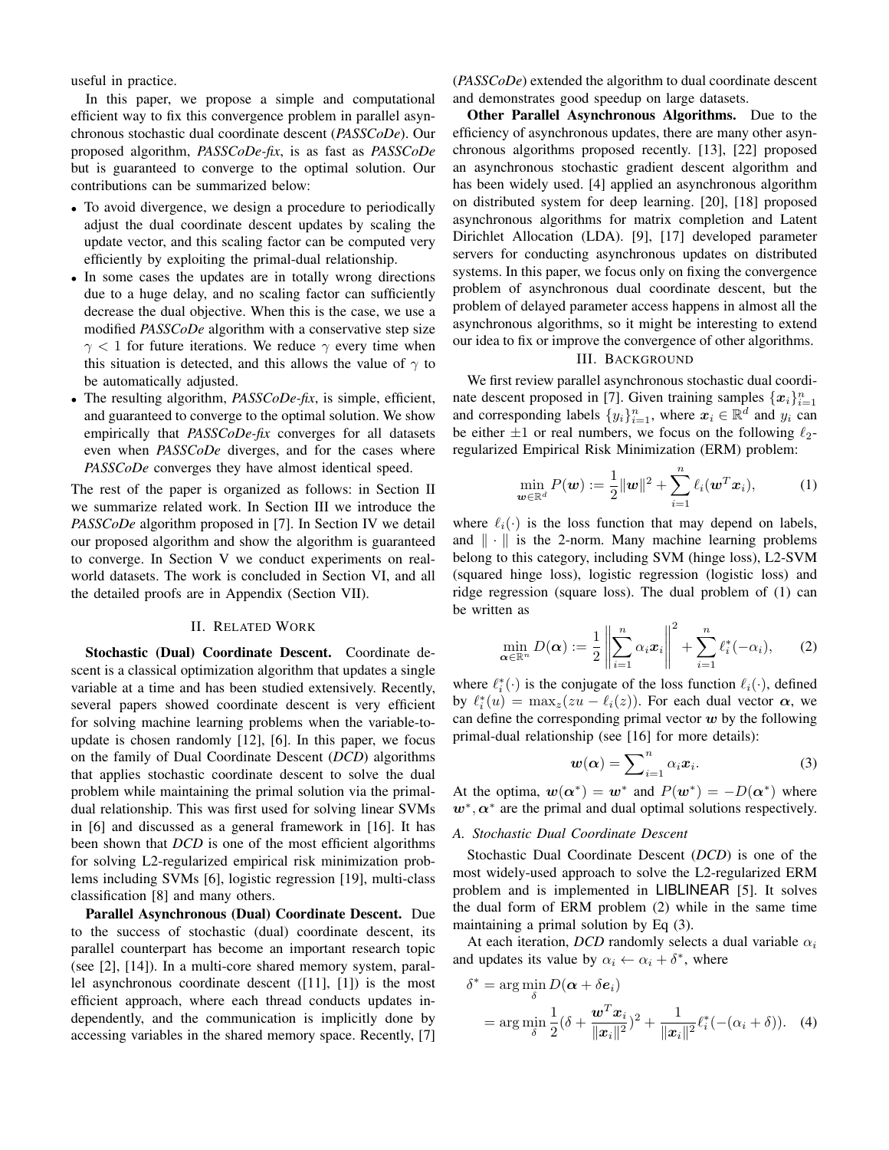useful in practice.

In this paper, we propose a simple and computational efficient way to fix this convergence problem in parallel asynchronous stochastic dual coordinate descent (*PASSCoDe*). Our proposed algorithm, *PASSCoDe-fix*, is as fast as *PASSCoDe* but is guaranteed to converge to the optimal solution. Our contributions can be summarized below:

- To avoid divergence, we design a procedure to periodically adjust the dual coordinate descent updates by scaling the update vector, and this scaling factor can be computed very efficiently by exploiting the primal-dual relationship.
- In some cases the updates are in totally wrong directions due to a huge delay, and no scaling factor can sufficiently decrease the dual objective. When this is the case, we use a modified *PASSCoDe* algorithm with a conservative step size  $\gamma$  < 1 for future iterations. We reduce  $\gamma$  every time when this situation is detected, and this allows the value of  $\gamma$  to be automatically adjusted.
- The resulting algorithm, *PASSCoDe-fix*, is simple, efficient, and guaranteed to converge to the optimal solution. We show empirically that *PASSCoDe-fix* converges for all datasets even when *PASSCoDe* diverges, and for the cases where *PASSCoDe* converges they have almost identical speed.

The rest of the paper is organized as follows: in Section II we summarize related work. In Section III we introduce the *PASSCoDe* algorithm proposed in [7]. In Section IV we detail our proposed algorithm and show the algorithm is guaranteed to converge. In Section V we conduct experiments on realworld datasets. The work is concluded in Section VI, and all the detailed proofs are in Appendix (Section VII).

#### II. RELATED WORK

Stochastic (Dual) Coordinate Descent. Coordinate descent is a classical optimization algorithm that updates a single variable at a time and has been studied extensively. Recently, several papers showed coordinate descent is very efficient for solving machine learning problems when the variable-toupdate is chosen randomly [12], [6]. In this paper, we focus on the family of Dual Coordinate Descent (*DCD*) algorithms that applies stochastic coordinate descent to solve the dual problem while maintaining the primal solution via the primaldual relationship. This was first used for solving linear SVMs in [6] and discussed as a general framework in [16]. It has been shown that *DCD* is one of the most efficient algorithms for solving L2-regularized empirical risk minimization problems including SVMs [6], logistic regression [19], multi-class classification [8] and many others.

Parallel Asynchronous (Dual) Coordinate Descent. Due to the success of stochastic (dual) coordinate descent, its parallel counterpart has become an important research topic (see [2], [14]). In a multi-core shared memory system, parallel asynchronous coordinate descent ([11], [1]) is the most efficient approach, where each thread conducts updates independently, and the communication is implicitly done by accessing variables in the shared memory space. Recently, [7] (*PASSCoDe*) extended the algorithm to dual coordinate descent and demonstrates good speedup on large datasets.

Other Parallel Asynchronous Algorithms. Due to the efficiency of asynchronous updates, there are many other asynchronous algorithms proposed recently. [13], [22] proposed an asynchronous stochastic gradient descent algorithm and has been widely used. [4] applied an asynchronous algorithm on distributed system for deep learning. [20], [18] proposed asynchronous algorithms for matrix completion and Latent Dirichlet Allocation (LDA). [9], [17] developed parameter servers for conducting asynchronous updates on distributed systems. In this paper, we focus only on fixing the convergence problem of asynchronous dual coordinate descent, but the problem of delayed parameter access happens in almost all the asynchronous algorithms, so it might be interesting to extend our idea to fix or improve the convergence of other algorithms.

# III. BACKGROUND

We first review parallel asynchronous stochastic dual coordinate descent proposed in [7]. Given training samples  $\{x_i\}_{i=1}^n$ and corresponding labels  $\{y_i\}_{i=1}^n$ , where  $x_i \in \mathbb{R}^d$  and  $y_i$  can be either  $\pm 1$  or real numbers, we focus on the following  $\ell_2$ regularized Empirical Risk Minimization (ERM) problem:

$$
\min_{\boldsymbol{w}\in\mathbb{R}^d} P(\boldsymbol{w}) := \frac{1}{2} ||\boldsymbol{w}||^2 + \sum_{i=1}^n \ell_i(\boldsymbol{w}^T \boldsymbol{x}_i),\tag{1}
$$

where  $\ell_i(\cdot)$  is the loss function that may depend on labels, and  $\|\cdot\|$  is the 2-norm. Many machine learning problems belong to this category, including SVM (hinge loss), L2-SVM (squared hinge loss), logistic regression (logistic loss) and ridge regression (square loss). The dual problem of (1) can be written as

$$
\min_{\boldsymbol{\alpha} \in \mathbb{R}^n} D(\boldsymbol{\alpha}) := \frac{1}{2} \left\| \sum_{i=1}^n \alpha_i \boldsymbol{x}_i \right\|^2 + \sum_{i=1}^n \ell_i^*(-\alpha_i), \qquad (2)
$$

where  $\ell_i^*(\cdot)$  is the conjugate of the loss function  $\ell_i(\cdot)$ , defined by  $\ell_i^*(u) = \max_z(zu - \ell_i(z))$ . For each dual vector  $\alpha$ , we can define the corresponding primal vector  $w$  by the following primal-dual relationship (see [16] for more details):

$$
w(\alpha) = \sum_{i=1}^{n} \alpha_i x_i.
$$
 (3)

At the optima,  $w(\alpha^*) = w^*$  and  $P(w^*) = -D(\alpha^*)$  where  $w^*$ ,  $\alpha^*$  are the primal and dual optimal solutions respectively.

#### *A. Stochastic Dual Coordinate Descent*

Stochastic Dual Coordinate Descent (*DCD*) is one of the most widely-used approach to solve the L2-regularized ERM problem and is implemented in LIBLINEAR [5]. It solves the dual form of ERM problem (2) while in the same time maintaining a primal solution by Eq (3).

At each iteration, *DCD* randomly selects a dual variable  $\alpha_i$ and updates its value by  $\alpha_i \leftarrow \alpha_i + \delta^*$ , where

$$
\delta^* = \arg\min_{\delta} D(\boldsymbol{\alpha} + \delta \boldsymbol{e}_i)
$$
  
= 
$$
\arg\min_{\delta} \frac{1}{2} (\delta + \frac{\boldsymbol{w}^T \boldsymbol{x}_i}{\|\boldsymbol{x}_i\|^2})^2 + \frac{1}{\|\boldsymbol{x}_i\|^2} \ell_i^*(-(\alpha_i + \delta)).
$$
 (4)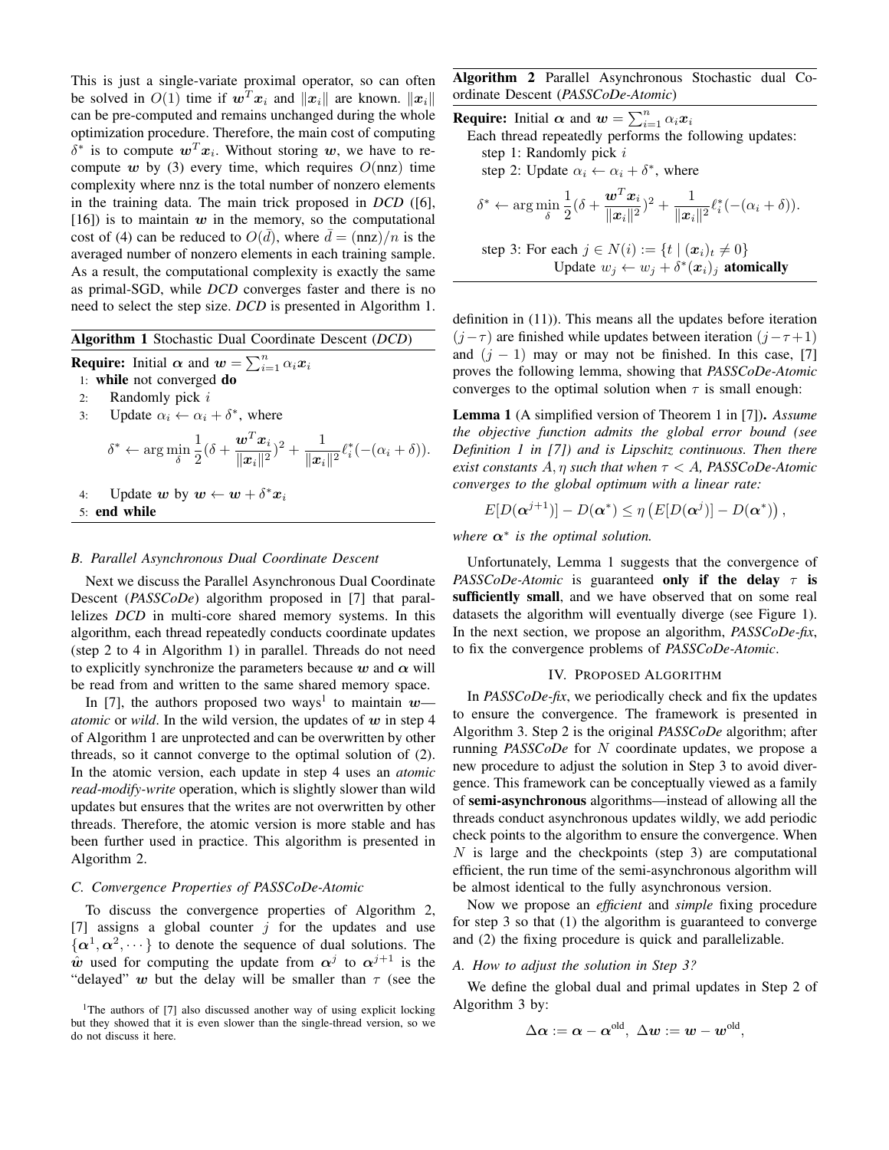This is just a single-variate proximal operator, so can often be solved in  $O(1)$  time if  $w^T x_i$  and  $||x_i||$  are known.  $||x_i||$ can be pre-computed and remains unchanged during the whole optimization procedure. Therefore, the main cost of computing  $\delta^*$  is to compute  $\boldsymbol{w}^T \boldsymbol{x}_i$ . Without storing  $\boldsymbol{w}$ , we have to recompute w by (3) every time, which requires  $O(nnz)$  time complexity where nnz is the total number of nonzero elements in the training data. The main trick proposed in *DCD* ([6],  $[16]$ ) is to maintain w in the memory, so the computational cost of (4) can be reduced to  $O(\bar{d})$ , where  $\bar{d} = \frac{\text{(nnz)}}{n}$  is the averaged number of nonzero elements in each training sample. As a result, the computational complexity is exactly the same as primal-SGD, while *DCD* converges faster and there is no need to select the step size. *DCD* is presented in Algorithm 1.

## Algorithm 1 Stochastic Dual Coordinate Descent (*DCD*)

**Require:** Initial  $\boldsymbol{\alpha}$  and  $\boldsymbol{w} = \sum_{i=1}^n \alpha_i \boldsymbol{x}_i$ 

- 1: while not converged do
- 2: Randomly pick i
- 3: Update  $\alpha_i \leftarrow \alpha_i + \delta^*$ , where

$$
\delta^* \leftarrow \arg\min_{\delta} \frac{1}{2} (\delta + \frac{\boldsymbol{w}^T \boldsymbol{x}_i}{\|\boldsymbol{x}_i\|^2})^2 + \frac{1}{\|\boldsymbol{x}_i\|^2} \ell_i^*(-(\alpha_i + \delta)).
$$

- 4: Update  $w$  by  $w \leftarrow w + \delta^* x_i$
- 5: end while

#### *B. Parallel Asynchronous Dual Coordinate Descent*

Next we discuss the Parallel Asynchronous Dual Coordinate Descent (*PASSCoDe*) algorithm proposed in [7] that parallelizes *DCD* in multi-core shared memory systems. In this algorithm, each thread repeatedly conducts coordinate updates (step 2 to 4 in Algorithm 1) in parallel. Threads do not need to explicitly synchronize the parameters because  $w$  and  $\alpha$  will be read from and written to the same shared memory space.

In [7], the authors proposed two ways<sup>1</sup> to maintain  $w$ *atomic* or *wild*. In the wild version, the updates of  $w$  in step 4 of Algorithm 1 are unprotected and can be overwritten by other threads, so it cannot converge to the optimal solution of (2). In the atomic version, each update in step 4 uses an *atomic read-modify-write* operation, which is slightly slower than wild updates but ensures that the writes are not overwritten by other threads. Therefore, the atomic version is more stable and has been further used in practice. This algorithm is presented in Algorithm 2.

#### *C. Convergence Properties of PASSCoDe-Atomic*

To discuss the convergence properties of Algorithm 2, [7] assigns a global counter  $j$  for the updates and use  $\{\alpha^1, \alpha^2, \cdots\}$  to denote the sequence of dual solutions. The  $\hat{w}$  used for computing the update from  $\alpha^{j}$  to  $\alpha^{j+1}$  is the "delayed" w but the delay will be smaller than  $\tau$  (see the Algorithm 2 Parallel Asynchronous Stochastic dual Coordinate Descent (*PASSCoDe-Atomic*)

**Require:** Initial  $\alpha$  and  $w = \sum_{i=1}^{n} \alpha_i x_i$ Each thread repeatedly performs the following updates: step 1: Randomly pick i step 2: Update  $\alpha_i \leftarrow \alpha_i + \delta^*$ , where  $\delta^* \leftarrow \arg\min_{\delta}$ 1  $\frac{1}{2}(\delta + \frac{\boldsymbol{w}^T\boldsymbol{x}_i}{\|\boldsymbol{x}_i\|^2}$  $\frac{\boldsymbol{w}^T\boldsymbol{x}_i}{\|\boldsymbol{x}_i\|^2})^2 + \frac{1}{\|\boldsymbol{x}_i\|}$  $\frac{1}{\|\boldsymbol{x}_i\|^2} \ell_i^*(-(\alpha_i+\delta)).$ 

step 3: For each  $j \in N(i) := \{t \mid (\mathbf{x}_i)_t \neq 0\}$ Update  $w_j \leftarrow w_j + \delta^*(x_i)_j$  atomically

definition in (11)). This means all the updates before iteration  $(j-\tau)$  are finished while updates between iteration  $(j-\tau+1)$ and  $(j - 1)$  may or may not be finished. In this case, [7] proves the following lemma, showing that *PASSCoDe-Atomic* converges to the optimal solution when  $\tau$  is small enough:

Lemma 1 (A simplified version of Theorem 1 in [7]). *Assume the objective function admits the global error bound (see Definition 1 in [7]) and is Lipschitz continuous. Then there exist constants* A, η *such that when* τ < A*, PASSCoDe-Atomic converges to the global optimum with a linear rate:*

$$
E[D(\boldsymbol{\alpha}^{j+1})] - D(\boldsymbol{\alpha}^*) \leq \eta \left( E[D(\boldsymbol{\alpha}^j)] - D(\boldsymbol{\alpha}^*) \right),
$$

*where*  $\alpha^*$  *is the optimal solution.* 

Unfortunately, Lemma 1 suggests that the convergence of *PASSCoDe-Atomic* is guaranteed only if the delay  $\tau$  is sufficiently small, and we have observed that on some real datasets the algorithm will eventually diverge (see Figure 1). In the next section, we propose an algorithm, *PASSCoDe-fix*, to fix the convergence problems of *PASSCoDe-Atomic*.

## IV. PROPOSED ALGORITHM

In *PASSCoDe-fix*, we periodically check and fix the updates to ensure the convergence. The framework is presented in Algorithm 3. Step 2 is the original *PASSCoDe* algorithm; after running *PASSCoDe* for N coordinate updates, we propose a new procedure to adjust the solution in Step 3 to avoid divergence. This framework can be conceptually viewed as a family of semi-asynchronous algorithms—instead of allowing all the threads conduct asynchronous updates wildly, we add periodic check points to the algorithm to ensure the convergence. When  $N$  is large and the checkpoints (step 3) are computational efficient, the run time of the semi-asynchronous algorithm will be almost identical to the fully asynchronous version.

Now we propose an *efficient* and *simple* fixing procedure for step 3 so that (1) the algorithm is guaranteed to converge and (2) the fixing procedure is quick and parallelizable.

#### *A. How to adjust the solution in Step 3?*

We define the global dual and primal updates in Step 2 of Algorithm 3 by:

$$
\Delta \alpha := \alpha - \alpha^{\text{old}}, \ \Delta w := w - w^{\text{old}},
$$

<sup>&</sup>lt;sup>1</sup>The authors of [7] also discussed another way of using explicit locking but they showed that it is even slower than the single-thread version, so we do not discuss it here.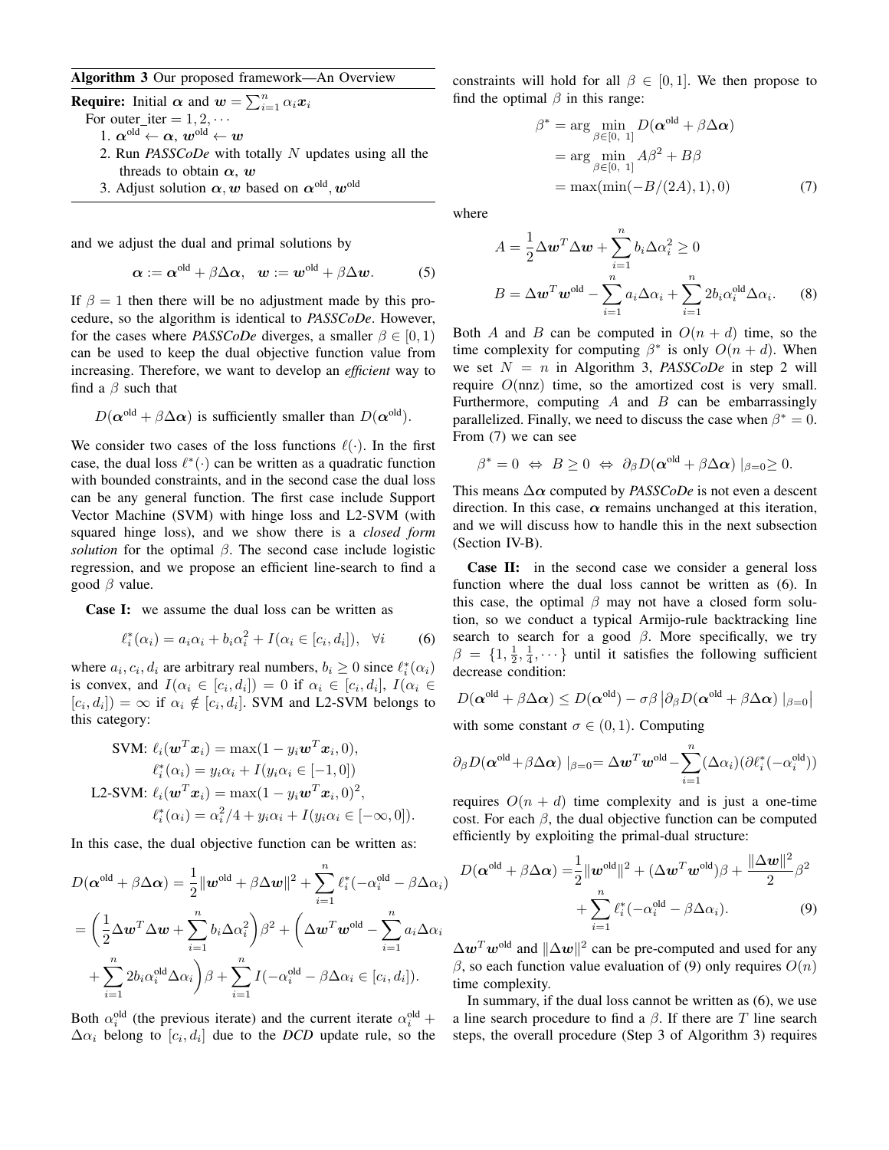## Algorithm 3 Our proposed framework—An Overview

**Require:** Initial  $\boldsymbol{\alpha}$  and  $\boldsymbol{w} = \sum_{i=1}^{n} \alpha_i \boldsymbol{x}_i$ 

- For outer\_iter =  $1, 2, \cdots$ 
	- 1.  $\alpha^{\text{old}} \leftarrow \alpha, w^{\text{old}} \leftarrow w$
	- 2. Run *PASSCoDe* with totally N updates using all the threads to obtain  $\alpha$ , w
	- 3. Adjust solution  $\alpha, w$  based on  $\alpha^{old}, w^{old}$

and we adjust the dual and primal solutions by

$$
\boldsymbol{\alpha} := \boldsymbol{\alpha}^{\text{old}} + \beta \Delta \boldsymbol{\alpha}, \quad \boldsymbol{w} := \boldsymbol{w}^{\text{old}} + \beta \Delta \boldsymbol{w}.
$$
 (5)

If  $\beta = 1$  then there will be no adjustment made by this procedure, so the algorithm is identical to *PASSCoDe*. However, for the cases where *PASSCoDe* diverges, a smaller  $\beta \in [0, 1)$ can be used to keep the dual objective function value from increasing. Therefore, we want to develop an *efficient* way to find a  $\beta$  such that

$$
D(\alpha^{\text{old}} + \beta \Delta \alpha)
$$
 is sufficiently smaller than  $D(\alpha^{\text{old}})$ .

We consider two cases of the loss functions  $\ell(\cdot)$ . In the first case, the dual loss  $\ell^*(\cdot)$  can be written as a quadratic function with bounded constraints, and in the second case the dual loss can be any general function. The first case include Support Vector Machine (SVM) with hinge loss and L2-SVM (with squared hinge loss), and we show there is a *closed form solution* for the optimal  $\beta$ . The second case include logistic regression, and we propose an efficient line-search to find a good  $\beta$  value.

Case I: we assume the dual loss can be written as

$$
\ell_i^*(\alpha_i) = a_i \alpha_i + b_i \alpha_i^2 + I(\alpha_i \in [c_i, d_i]), \quad \forall i \tag{6}
$$

where  $a_i, c_i, d_i$  are arbitrary real numbers,  $b_i \geq 0$  since  $\ell_i^*(\alpha_i)$ is convex, and  $I(\alpha_i \in [c_i, d_i]) = 0$  if  $\alpha_i \in [c_i, d_i]$ ,  $I(\alpha_i \in$  $[c_i, d_i]$  =  $\infty$  if  $\alpha_i \notin [c_i, d_i]$ . SVM and L2-SVM belongs to this category:

SVM: 
$$
\ell_i(\mathbf{w}^T \mathbf{x}_i) = \max(1 - y_i \mathbf{w}^T \mathbf{x}_i, 0),
$$

$$
\ell_i^*(\alpha_i) = y_i \alpha_i + I(y_i \alpha_i \in [-1, 0])
$$
  
L2-SVM: 
$$
\ell_i(\mathbf{w}^T \mathbf{x}_i) = \max(1 - y_i \mathbf{w}^T \mathbf{x}_i, 0)^2,
$$

$$
\ell_i^*(\alpha_i) = \alpha_i^2/4 + y_i \alpha_i + I(y_i \alpha_i \in [-\infty, 0]).
$$

In this case, the dual objective function can be written as:

$$
D(\boldsymbol{\alpha}^{\text{old}} + \beta \Delta \boldsymbol{\alpha}) = \frac{1}{2} ||\boldsymbol{w}^{\text{old}} + \beta \Delta \boldsymbol{w}||^{2} + \sum_{i=1}^{n} \ell_{i}^{*}(-\alpha_{i}^{\text{old}} - \beta \Delta \alpha_{i})
$$
  
= 
$$
\left(\frac{1}{2} \Delta \boldsymbol{w}^{T} \Delta \boldsymbol{w} + \sum_{i=1}^{n} b_{i} \Delta \alpha_{i}^{2}\right) \beta^{2} + \left(\Delta \boldsymbol{w}^{T} \boldsymbol{w}^{\text{old}} - \sum_{i=1}^{n} a_{i} \Delta \alpha_{i} + \sum_{i=1}^{n} 2b_{i} \alpha_{i}^{\text{old}} \Delta \alpha_{i}\right) \beta + \sum_{i=1}^{n} I(-\alpha_{i}^{\text{old}} - \beta \Delta \alpha_{i} \in [c_{i}, d_{i}]).
$$

Both  $\alpha_i^{\text{old}}$  (the previous iterate) and the current iterate  $\alpha_i^{\text{old}}$  +  $\Delta \alpha_i$  belong to  $[c_i, d_i]$  due to the *DCD* update rule, so the constraints will hold for all  $\beta \in [0,1]$ . We then propose to find the optimal  $\beta$  in this range:

$$
\beta^* = \arg\min_{\beta \in [0, 1]} D(\boldsymbol{\alpha}^{\text{old}} + \beta \Delta \boldsymbol{\alpha})
$$
  
= 
$$
\arg\min_{\beta \in [0, 1]} A\beta^2 + B\beta
$$
  
= 
$$
\max(\min(-B/(2A), 1), 0)
$$
 (7)

where

$$
A = \frac{1}{2} \Delta \mathbf{w}^T \Delta \mathbf{w} + \sum_{i=1}^n b_i \Delta \alpha_i^2 \ge 0
$$
  

$$
B = \Delta \mathbf{w}^T \mathbf{w}^{\text{old}} - \sum_{i=1}^n a_i \Delta \alpha_i + \sum_{i=1}^n 2b_i \alpha_i^{\text{old}} \Delta \alpha_i.
$$
 (8)

Both A and B can be computed in  $O(n + d)$  time, so the time complexity for computing  $\beta^*$  is only  $O(n + d)$ . When we set  $N = n$  in Algorithm 3, *PASSCoDe* in step 2 will require  $O(nnz)$  time, so the amortized cost is very small. Furthermore, computing  $A$  and  $B$  can be embarrassingly parallelized. Finally, we need to discuss the case when  $\beta^* = 0$ . From (7) we can see

$$
\beta^* = 0 \Leftrightarrow B \ge 0 \Leftrightarrow \partial_{\beta} D(\boldsymbol{\alpha}^{\text{old}} + \beta \Delta \boldsymbol{\alpha}) |_{\beta=0} \ge 0.
$$

This means  $\Delta \alpha$  computed by *PASSCoDe* is not even a descent direction. In this case,  $\alpha$  remains unchanged at this iteration, and we will discuss how to handle this in the next subsection (Section IV-B).

Case II: in the second case we consider a general loss function where the dual loss cannot be written as (6). In this case, the optimal  $\beta$  may not have a closed form solution, so we conduct a typical Armijo-rule backtracking line search to search for a good  $\beta$ . More specifically, we try  $\beta = \{1, \frac{1}{2}, \frac{1}{4}, \cdots\}$  until it satisfies the following sufficient decrease condition:

$$
D(\boldsymbol{\alpha}^{\text{old}} + \beta \Delta \boldsymbol{\alpha}) \le D(\boldsymbol{\alpha}^{\text{old}}) - \sigma \beta \left| \partial_{\beta} D(\boldsymbol{\alpha}^{\text{old}} + \beta \Delta \boldsymbol{\alpha}) \right|_{\beta=0}
$$

with some constant  $\sigma \in (0, 1)$ . Computing

$$
\partial_{\beta} D(\boldsymbol{\alpha}^{\text{old}} + \beta \Delta \boldsymbol{\alpha}) \mid_{\beta=0} = \Delta \boldsymbol{w}^{T} \boldsymbol{w}^{\text{old}} - \sum_{i=1}^{n} (\Delta \alpha_{i}) (\partial \ell_{i}^{*}(-\alpha_{i}^{\text{old}}))
$$

requires  $O(n + d)$  time complexity and is just a one-time cost. For each  $\beta$ , the dual objective function can be computed efficiently by exploiting the primal-dual structure:

$$
D(\boldsymbol{\alpha}^{\text{old}} + \beta \Delta \boldsymbol{\alpha}) = \frac{1}{2} ||\boldsymbol{w}^{\text{old}}||^2 + (\Delta \boldsymbol{w}^T \boldsymbol{w}^{\text{old}})\beta + \frac{||\Delta \boldsymbol{w}||^2}{2}\beta^2
$$

$$
+ \sum_{i=1}^n \ell_i^*(-\alpha_i^{\text{old}} - \beta \Delta \alpha_i). \tag{9}
$$

 $\Delta w^T w^{\text{old}}$  and  $\|\Delta w\|^2$  can be pre-computed and used for any  $\beta$ , so each function value evaluation of (9) only requires  $O(n)$ time complexity.

In summary, if the dual loss cannot be written as (6), we use a line search procedure to find a  $\beta$ . If there are T line search steps, the overall procedure (Step 3 of Algorithm 3) requires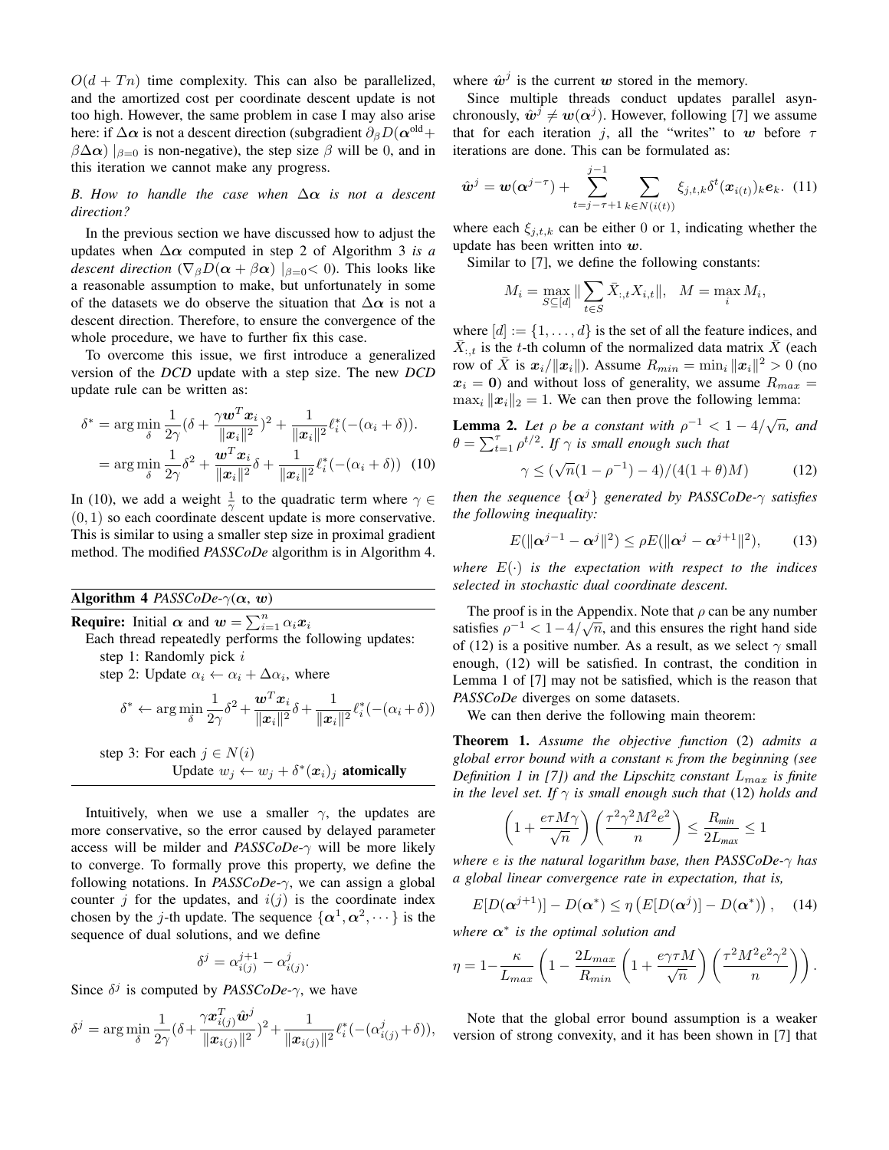$O(d + T_n)$  time complexity. This can also be parallelized, and the amortized cost per coordinate descent update is not too high. However, the same problem in case I may also arise here: if  $\Delta \alpha$  is not a descent direction (subgradient  $\partial_{\beta}D(\alpha^{\text{old}}+$  $\beta \Delta \alpha$ )  $|_{\beta=0}$  is non-negative), the step size  $\beta$  will be 0, and in this iteration we cannot make any progress.

## *B. How to handle the case when* ∆α *is not a descent direction?*

In the previous section we have discussed how to adjust the updates when  $\Delta \alpha$  computed in step 2 of Algorithm 3 *is a descent direction*  $(\nabla_{\beta}D(\alpha + \beta \alpha) |_{\beta=0} < 0)$ . This looks like a reasonable assumption to make, but unfortunately in some of the datasets we do observe the situation that  $\Delta \alpha$  is not a descent direction. Therefore, to ensure the convergence of the whole procedure, we have to further fix this case.

To overcome this issue, we first introduce a generalized version of the *DCD* update with a step size. The new *DCD* update rule can be written as:

$$
\delta^* = \arg \min_{\delta} \frac{1}{2\gamma} (\delta + \frac{\gamma \mathbf{w}^T \mathbf{x}_i}{\|\mathbf{x}_i\|^2})^2 + \frac{1}{\|\mathbf{x}_i\|^2} \ell_i^*(-(\alpha_i + \delta)).
$$
  
= 
$$
\arg \min_{\delta} \frac{1}{2\gamma} \delta^2 + \frac{\mathbf{w}^T \mathbf{x}_i}{\|\mathbf{x}_i\|^2} \delta + \frac{1}{\|\mathbf{x}_i\|^2} \ell_i^*(-(\alpha_i + \delta))
$$
 (10)

In (10), we add a weight  $\frac{1}{\gamma}$  to the quadratic term where  $\gamma \in$  $(0, 1)$  so each coordinate descent update is more conservative. This is similar to using a smaller step size in proximal gradient method. The modified *PASSCoDe* algorithm is in Algorithm 4.

#### Algorithm 4 *PASSCoDe-* $\gamma(\alpha, w)$

**Require:** Initial  $\boldsymbol{\alpha}$  and  $\boldsymbol{w} = \sum_{i=1}^n \alpha_i \boldsymbol{x}_i$ 

Each thread repeatedly performs the following updates: step 1: Randomly pick i

$$
step 2: Update \alpha_i \leftarrow \alpha_i + \Delta \alpha_i, where
$$

$$
\delta^* \leftarrow \arg\min_{\delta} \frac{1}{2\gamma} \delta^2 + \frac{\boldsymbol{w}^T \boldsymbol{x}_i}{\|\boldsymbol{x}_i\|^2} \delta + \frac{1}{\|\boldsymbol{x}_i\|^2} \ell_i^*(-(\alpha_i + \delta))
$$

step 3: For each 
$$
j \in N(i)
$$
  
Update  $w_j \leftarrow w_j + \delta^*(x_i)_j$  atomically

Intuitively, when we use a smaller  $\gamma$ , the updates are more conservative, so the error caused by delayed parameter access will be milder and *PASSCoDe*-γ will be more likely to converge. To formally prove this property, we define the following notations. In *PASSCoDe*-γ, we can assign a global counter j for the updates, and  $i(j)$  is the coordinate index chosen by the *j*-th update. The sequence  $\{\alpha^1, \alpha^2, \dots\}$  is the sequence of dual solutions, and we define

$$
\delta^j = \alpha_{i(j)}^{j+1} - \alpha_{i(j)}^j.
$$

Since  $\delta^j$  is computed by *PASSCoDe-* $\gamma$ , we have

$$
\delta^j = \arg\min_{\delta} \frac{1}{2\gamma} (\delta + \frac{\gamma \boldsymbol{x}_{i(j)}^T \hat{\boldsymbol{w}}^j}{\|\boldsymbol{x}_{i(j)}\|^2})^2 + \frac{1}{\|\boldsymbol{x}_{i(j)}\|^2} \ell_i^*(-(\alpha_{i(j)}^j + \delta)),
$$

where  $\hat{w}^j$  is the current w stored in the memory.

Since multiple threads conduct updates parallel asynchronously,  $\hat{\boldsymbol{w}}^j \neq \boldsymbol{w}(\boldsymbol{\alpha}^j)$ . However, following [7] we assume that for each iteration j, all the "writes" to w before  $\tau$ iterations are done. This can be formulated as:

$$
\hat{\boldsymbol{w}}^{j} = \boldsymbol{w}(\boldsymbol{\alpha}^{j-\tau}) + \sum_{t=j-\tau+1}^{j-1} \sum_{k \in N(i(t))} \xi_{j,t,k} \delta^{t}(\boldsymbol{x}_{i(t)})_k \boldsymbol{e}_k.
$$
 (11)

where each  $\xi_{j,t,k}$  can be either 0 or 1, indicating whether the update has been written into  $w$ .

Similar to [7], we define the following constants:

$$
M_i = \max_{S \subseteq [d]} \|\sum_{t \in S} \bar{X}_{:,t} X_{i,t}\|, \quad M = \max_i M_i,
$$

where  $[d] := \{1, \ldots, d\}$  is the set of all the feature indices, and  $\bar{X}_{:,t}$  is the t-th column of the normalized data matrix  $\bar{X}$  (each row of  $\bar{X}$  is  $x_i/||x_i||$ ). Assume  $R_{min} = \min_i ||x_i||^2 > 0$  (no  $x_i = 0$ ) and without loss of generality, we assume  $R_{max} =$  $\max_i ||x_i||_2 = 1$ . We can then prove the following lemma:

**Lemma 2.** Let  $\rho$  be a constant with  $\rho^{-1} < 1 - 4/\sqrt{n}$ , and  $\theta = \sum_{t=1}^{T} \rho^{t/2}$ . If  $\gamma$  is small enough such that

$$
\gamma \le (\sqrt{n}(1 - \rho^{-1}) - 4) / (4(1 + \theta)M) \tag{12}
$$

*then the sequence*  $\{\alpha^j\}$  *generated by PASSCoDe-* $\gamma$  *satisfies the following inequality:*

$$
E(\|\boldsymbol{\alpha}^{j-1}-\boldsymbol{\alpha}^{j}\|^{2}) \leq \rho E(\|\boldsymbol{\alpha}^{j}-\boldsymbol{\alpha}^{j+1}\|^{2}),\qquad(13)
$$

*where*  $E(\cdot)$  *is the expectation with respect to the indices selected in stochastic dual coordinate descent.*

The proof is in the Appendix. Note that  $\rho$  can be any number satisfies  $\rho^{-1} < 1 - 4/\sqrt{n}$ , and this ensures the right hand side of (12) is a positive number. As a result, as we select  $\gamma$  small enough, (12) will be satisfied. In contrast, the condition in Lemma 1 of [7] may not be satisfied, which is the reason that *PASSCoDe* diverges on some datasets.

We can then derive the following main theorem:

Theorem 1. *Assume the objective function* (2) *admits a global error bound with a constant* κ *from the beginning (see Definition 1 in [7]) and the Lipschitz constant*  $L_{max}$  *is finite in the level set. If*  $\gamma$  *is small enough such that* (12) *holds and* 

$$
\left(1 + \frac{e\tau M \gamma}{\sqrt{n}}\right) \left(\frac{\tau^2 \gamma^2 M^2 e^2}{n}\right) \le \frac{R_{\text{min}}}{2L_{\text{max}}} \le 1
$$

*where* e *is the natural logarithm base, then PASSCoDe-*γ *has a global linear convergence rate in expectation, that is,*

$$
E[D(\boldsymbol{\alpha}^{j+1})] - D(\boldsymbol{\alpha}^*) \leq \eta \left( E[D(\boldsymbol{\alpha}^j)] - D(\boldsymbol{\alpha}^*) \right), \quad (14)
$$

*where* α<sup>∗</sup> *is the optimal solution and*

$$
\eta = 1 - \frac{\kappa}{L_{max}} \left( 1 - \frac{2L_{max}}{R_{min}} \left( 1 + \frac{e\gamma \tau M}{\sqrt{n}} \right) \left( \frac{\tau^2 M^2 e^2 \gamma^2}{n} \right) \right).
$$

Note that the global error bound assumption is a weaker version of strong convexity, and it has been shown in [7] that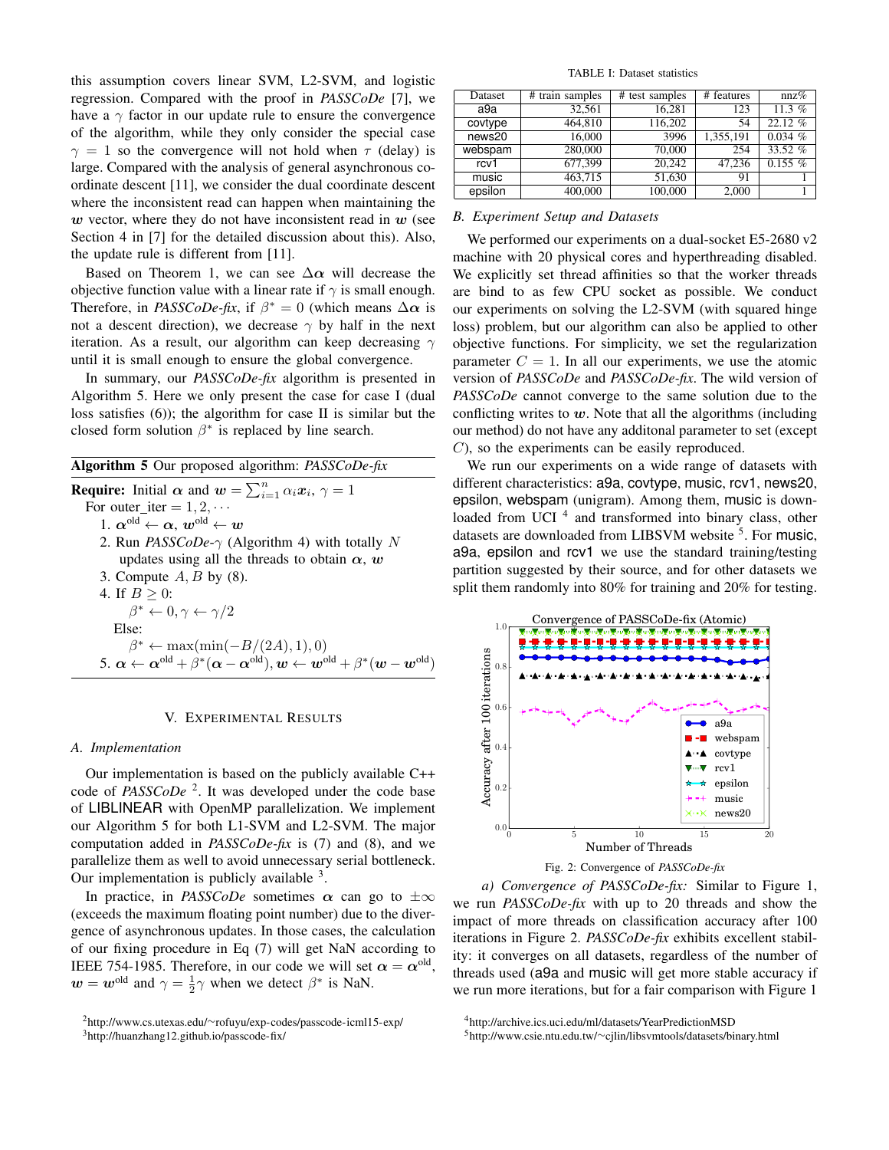this assumption covers linear SVM, L2-SVM, and logistic regression. Compared with the proof in *PASSCoDe* [7], we have a  $\gamma$  factor in our update rule to ensure the convergence of the algorithm, while they only consider the special case  $\gamma = 1$  so the convergence will not hold when  $\tau$  (delay) is large. Compared with the analysis of general asynchronous coordinate descent [11], we consider the dual coordinate descent where the inconsistent read can happen when maintaining the  $w$  vector, where they do not have inconsistent read in  $w$  (see Section 4 in [7] for the detailed discussion about this). Also, the update rule is different from [11].

Based on Theorem 1, we can see  $\Delta \alpha$  will decrease the objective function value with a linear rate if  $\gamma$  is small enough. Therefore, in *PASSCoDe-fix*, if  $\beta^* = 0$  (which means  $\Delta \alpha$  is not a descent direction), we decrease  $\gamma$  by half in the next iteration. As a result, our algorithm can keep decreasing  $\gamma$ until it is small enough to ensure the global convergence.

In summary, our *PASSCoDe-fix* algorithm is presented in Algorithm 5. Here we only present the case for case I (dual loss satisfies (6)); the algorithm for case II is similar but the closed form solution  $\beta^*$  is replaced by line search.

Algorithm 5 Our proposed algorithm: *PASSCoDe-fix*

**Require:** Initial  $\alpha$  and  $\boldsymbol{w} = \sum_{i=1}^{n} \alpha_i \boldsymbol{x}_i, \gamma = 1$ For outer\_iter =  $1, 2, \cdots$ 1.  $\alpha^{\text{old}} \leftarrow \alpha$ ,  $w^{\text{old}} \leftarrow w$ 2. Run *PASSCoDe*-γ (Algorithm 4) with totally N updates using all the threads to obtain  $\alpha$ , w 3. Compute  $A, B$  by (8). 4. If  $B > 0$ :  $\beta^* \leftarrow 0, \gamma \leftarrow \gamma/2$ Else:  $\beta^* \leftarrow \max(\min(-B/(2A), 1), 0)$ 5.  $\boldsymbol{\alpha} \leftarrow \boldsymbol{\alpha}^{\text{old}} + \beta^*(\boldsymbol{\alpha} - \boldsymbol{\alpha}^{\text{old}}), \boldsymbol{w} \leftarrow \boldsymbol{w}^{\text{old}} + \beta^*(\boldsymbol{w} - \boldsymbol{w}^{\text{old}})$ 

## V. EXPERIMENTAL RESULTS

#### *A. Implementation*

Our implementation is based on the publicly available C++ code of *PASSCoDe*<sup>2</sup>. It was developed under the code base of LIBLINEAR with OpenMP parallelization. We implement our Algorithm 5 for both L1-SVM and L2-SVM. The major computation added in *PASSCoDe-fix* is (7) and (8), and we parallelize them as well to avoid unnecessary serial bottleneck. Our implementation is publicly available  $3$ .

In practice, in *PASSCoDe* sometimes  $\alpha$  can go to  $\pm \infty$ (exceeds the maximum floating point number) due to the divergence of asynchronous updates. In those cases, the calculation of our fixing procedure in Eq (7) will get NaN according to IEEE 754-1985. Therefore, in our code we will set  $\alpha = \alpha^{\text{old}}$ ,  $w = w^{\text{old}}$  and  $\gamma = \frac{1}{2}\gamma$  when we detect  $\beta^*$  is NaN.

TABLE I: Dataset statistics

| Dataset | # train samples | # test samples | # features | nnz%      |
|---------|-----------------|----------------|------------|-----------|
| a9a     | 32,561          | 16,281         | 123        | 11.3%     |
| covtype | 464.810         | 116,202        | 54         | 22.12 %   |
| news20  | 16.000          | 3996           | 1,355,191  | 0.034%    |
| webspam | 280,000         | 70,000         | 254        | 33.52 %   |
| rcv1    | 677.399         | 20.242         | 47.236     | $0.155\%$ |
| music   | 463,715         | 51,630         | 91         |           |
| epsilon | 400,000         | 100,000        | 2,000      |           |

#### *B. Experiment Setup and Datasets*

We performed our experiments on a dual-socket E5-2680 v2 machine with 20 physical cores and hyperthreading disabled. We explicitly set thread affinities so that the worker threads are bind to as few CPU socket as possible. We conduct our experiments on solving the L2-SVM (with squared hinge loss) problem, but our algorithm can also be applied to other objective functions. For simplicity, we set the regularization parameter  $C = 1$ . In all our experiments, we use the atomic version of *PASSCoDe* and *PASSCoDe-fix*. The wild version of *PASSCoDe* cannot converge to the same solution due to the conflicting writes to  $w$ . Note that all the algorithms (including our method) do not have any additonal parameter to set (except C), so the experiments can be easily reproduced.

We run our experiments on a wide range of datasets with different characteristics: a9a, covtype, music, rcv1, news20, epsilon, webspam (unigram). Among them, music is downloaded from UCI<sup>4</sup> and transformed into binary class, other datasets are downloaded from LIBSVM website <sup>5</sup>. For music, a9a, epsilon and rcv1 we use the standard training/testing partition suggested by their source, and for other datasets we split them randomly into 80% for training and 20% for testing.





*a) Convergence of PASSCoDe-fix:* Similar to Figure 1, we run *PASSCoDe-fix* with up to 20 threads and show the impact of more threads on classification accuracy after 100 iterations in Figure 2. *PASSCoDe-fix* exhibits excellent stability: it converges on all datasets, regardless of the number of threads used (a9a and music will get more stable accuracy if we run more iterations, but for a fair comparison with Figure 1

<sup>2</sup>http://www.cs.utexas.edu/∼rofuyu/exp-codes/passcode-icml15-exp/

<sup>3</sup>http://huanzhang12.github.io/passcode-fix/

<sup>4</sup>http://archive.ics.uci.edu/ml/datasets/YearPredictionMSD

<sup>5</sup>http://www.csie.ntu.edu.tw/∼cjlin/libsvmtools/datasets/binary.html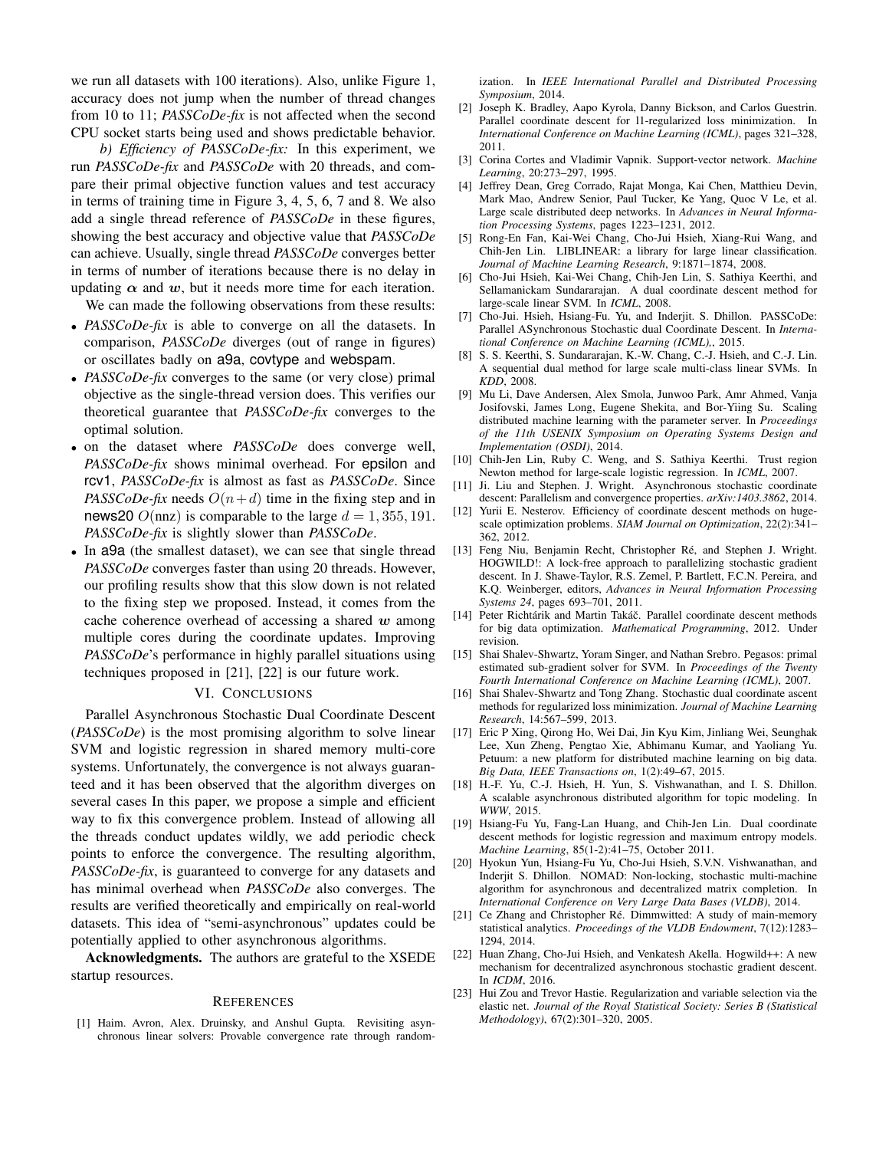we run all datasets with 100 iterations). Also, unlike Figure 1, accuracy does not jump when the number of thread changes from 10 to 11; *PASSCoDe-fix* is not affected when the second CPU socket starts being used and shows predictable behavior.

*b) Efficiency of PASSCoDe-fix:* In this experiment, we run *PASSCoDe-fix* and *PASSCoDe* with 20 threads, and compare their primal objective function values and test accuracy in terms of training time in Figure 3, 4, 5, 6, 7 and 8. We also add a single thread reference of *PASSCoDe* in these figures, showing the best accuracy and objective value that *PASSCoDe* can achieve. Usually, single thread *PASSCoDe* converges better in terms of number of iterations because there is no delay in updating  $\alpha$  and  $w$ , but it needs more time for each iteration.

- We can made the following observations from these results: • *PASSCoDe-fix* is able to converge on all the datasets. In
- comparison, *PASSCoDe* diverges (out of range in figures) or oscillates badly on a9a, covtype and webspam.
- *PASSCoDe-fix* converges to the same (or very close) primal objective as the single-thread version does. This verifies our theoretical guarantee that *PASSCoDe-fix* converges to the optimal solution.
- on the dataset where *PASSCoDe* does converge well, *PASSCoDe-fix* shows minimal overhead. For epsilon and rcv1, *PASSCoDe-fix* is almost as fast as *PASSCoDe*. Since *PASSCoDe-fix* needs  $O(n+d)$  time in the fixing step and in news20  $O$ (nnz) is comparable to the large  $d = 1,355,191$ . *PASSCoDe-fix* is slightly slower than *PASSCoDe*.
- In a9a (the smallest dataset), we can see that single thread *PASSCoDe* converges faster than using 20 threads. However, our profiling results show that this slow down is not related to the fixing step we proposed. Instead, it comes from the cache coherence overhead of accessing a shared  $w$  among multiple cores during the coordinate updates. Improving *PASSCoDe*'s performance in highly parallel situations using techniques proposed in [21], [22] is our future work.

## VI. CONCLUSIONS

Parallel Asynchronous Stochastic Dual Coordinate Descent (*PASSCoDe*) is the most promising algorithm to solve linear SVM and logistic regression in shared memory multi-core systems. Unfortunately, the convergence is not always guaranteed and it has been observed that the algorithm diverges on several cases In this paper, we propose a simple and efficient way to fix this convergence problem. Instead of allowing all the threads conduct updates wildly, we add periodic check points to enforce the convergence. The resulting algorithm, *PASSCoDe-fix*, is guaranteed to converge for any datasets and has minimal overhead when *PASSCoDe* also converges. The results are verified theoretically and empirically on real-world datasets. This idea of "semi-asynchronous" updates could be potentially applied to other asynchronous algorithms.

Acknowledgments. The authors are grateful to the XSEDE startup resources.

#### **REFERENCES**

[1] Haim. Avron, Alex. Druinsky, and Anshul Gupta. Revisiting asynchronous linear solvers: Provable convergence rate through randomization. In *IEEE International Parallel and Distributed Processing Symposium*, 2014.

- [2] Joseph K. Bradley, Aapo Kyrola, Danny Bickson, and Carlos Guestrin. Parallel coordinate descent for l1-regularized loss minimization. In *International Conference on Machine Learning (ICML)*, pages 321–328, 2011.
- [3] Corina Cortes and Vladimir Vapnik. Support-vector network. *Machine Learning*, 20:273–297, 1995.
- [4] Jeffrey Dean, Greg Corrado, Rajat Monga, Kai Chen, Matthieu Devin, Mark Mao, Andrew Senior, Paul Tucker, Ke Yang, Quoc V Le, et al. Large scale distributed deep networks. In *Advances in Neural Information Processing Systems*, pages 1223–1231, 2012.
- [5] Rong-En Fan, Kai-Wei Chang, Cho-Jui Hsieh, Xiang-Rui Wang, and Chih-Jen Lin. LIBLINEAR: a library for large linear classification. *Journal of Machine Learning Research*, 9:1871–1874, 2008.
- [6] Cho-Jui Hsieh, Kai-Wei Chang, Chih-Jen Lin, S. Sathiya Keerthi, and Sellamanickam Sundararajan. A dual coordinate descent method for large-scale linear SVM. In *ICML*, 2008.
- [7] Cho-Jui. Hsieh, Hsiang-Fu. Yu, and Inderjit. S. Dhillon. PASSCoDe: Parallel ASynchronous Stochastic dual Coordinate Descent. In *International Conference on Machine Learning (ICML),*, 2015.
- [8] S. S. Keerthi, S. Sundararajan, K.-W. Chang, C.-J. Hsieh, and C.-J. Lin. A sequential dual method for large scale multi-class linear SVMs. In *KDD*, 2008.
- [9] Mu Li, Dave Andersen, Alex Smola, Junwoo Park, Amr Ahmed, Vanja Josifovski, James Long, Eugene Shekita, and Bor-Yiing Su. Scaling distributed machine learning with the parameter server. In *Proceedings of the 11th USENIX Symposium on Operating Systems Design and Implementation (OSDI)*, 2014.
- [10] Chih-Jen Lin, Ruby C. Weng, and S. Sathiya Keerthi. Trust region Newton method for large-scale logistic regression. In *ICML*, 2007.
- [11] Ji. Liu and Stephen. J. Wright. Asynchronous stochastic coordinate descent: Parallelism and convergence properties. *arXiv:1403.3862*, 2014.
- [12] Yurii E. Nesterov. Efficiency of coordinate descent methods on hugescale optimization problems. *SIAM Journal on Optimization*, 22(2):341– 362, 2012.
- [13] Feng Niu, Benjamin Recht, Christopher Ré, and Stephen J. Wright. HOGWILD!: A lock-free approach to parallelizing stochastic gradient descent. In J. Shawe-Taylor, R.S. Zemel, P. Bartlett, F.C.N. Pereira, and K.Q. Weinberger, editors, *Advances in Neural Information Processing Systems 24*, pages 693–701, 2011.
- [14] Peter Richtárik and Martin Takáč. Parallel coordinate descent methods for big data optimization. *Mathematical Programming*, 2012. Under revision.
- [15] Shai Shalev-Shwartz, Yoram Singer, and Nathan Srebro. Pegasos: primal estimated sub-gradient solver for SVM. In *Proceedings of the Twenty Fourth International Conference on Machine Learning (ICML)*, 2007.
- [16] Shai Shalev-Shwartz and Tong Zhang. Stochastic dual coordinate ascent methods for regularized loss minimization. *Journal of Machine Learning Research*, 14:567–599, 2013.
- [17] Eric P Xing, Qirong Ho, Wei Dai, Jin Kyu Kim, Jinliang Wei, Seunghak Lee, Xun Zheng, Pengtao Xie, Abhimanu Kumar, and Yaoliang Yu. Petuum: a new platform for distributed machine learning on big data. *Big Data, IEEE Transactions on*, 1(2):49–67, 2015.
- [18] H.-F. Yu, C.-J. Hsieh, H. Yun, S. Vishwanathan, and I. S. Dhillon. A scalable asynchronous distributed algorithm for topic modeling. In *WWW*, 2015.
- [19] Hsiang-Fu Yu, Fang-Lan Huang, and Chih-Jen Lin. Dual coordinate descent methods for logistic regression and maximum entropy models. *Machine Learning*, 85(1-2):41–75, October 2011.
- [20] Hyokun Yun, Hsiang-Fu Yu, Cho-Jui Hsieh, S.V.N. Vishwanathan, and Inderjit S. Dhillon. NOMAD: Non-locking, stochastic multi-machine algorithm for asynchronous and decentralized matrix completion. In *International Conference on Very Large Data Bases (VLDB)*, 2014.
- [21] Ce Zhang and Christopher Ré. Dimmwitted: A study of main-memory statistical analytics. *Proceedings of the VLDB Endowment*, 7(12):1283– 1294, 2014.
- [22] Huan Zhang, Cho-Jui Hsieh, and Venkatesh Akella. Hogwild++: A new mechanism for decentralized asynchronous stochastic gradient descent. In *ICDM*, 2016.
- [23] Hui Zou and Trevor Hastie. Regularization and variable selection via the elastic net. *Journal of the Royal Statistical Society: Series B (Statistical Methodology)*, 67(2):301–320, 2005.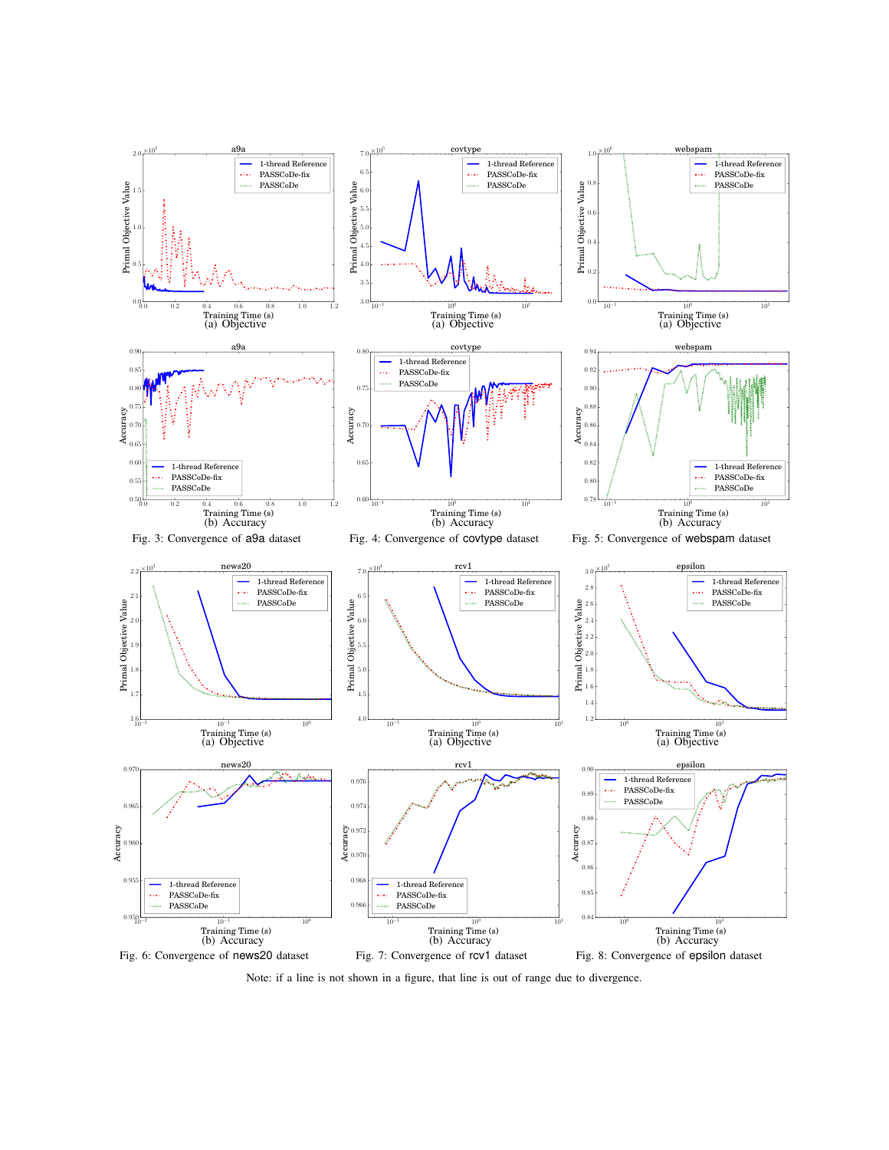

Note: if a line is not shown in a figure, that line is out of range due to divergence.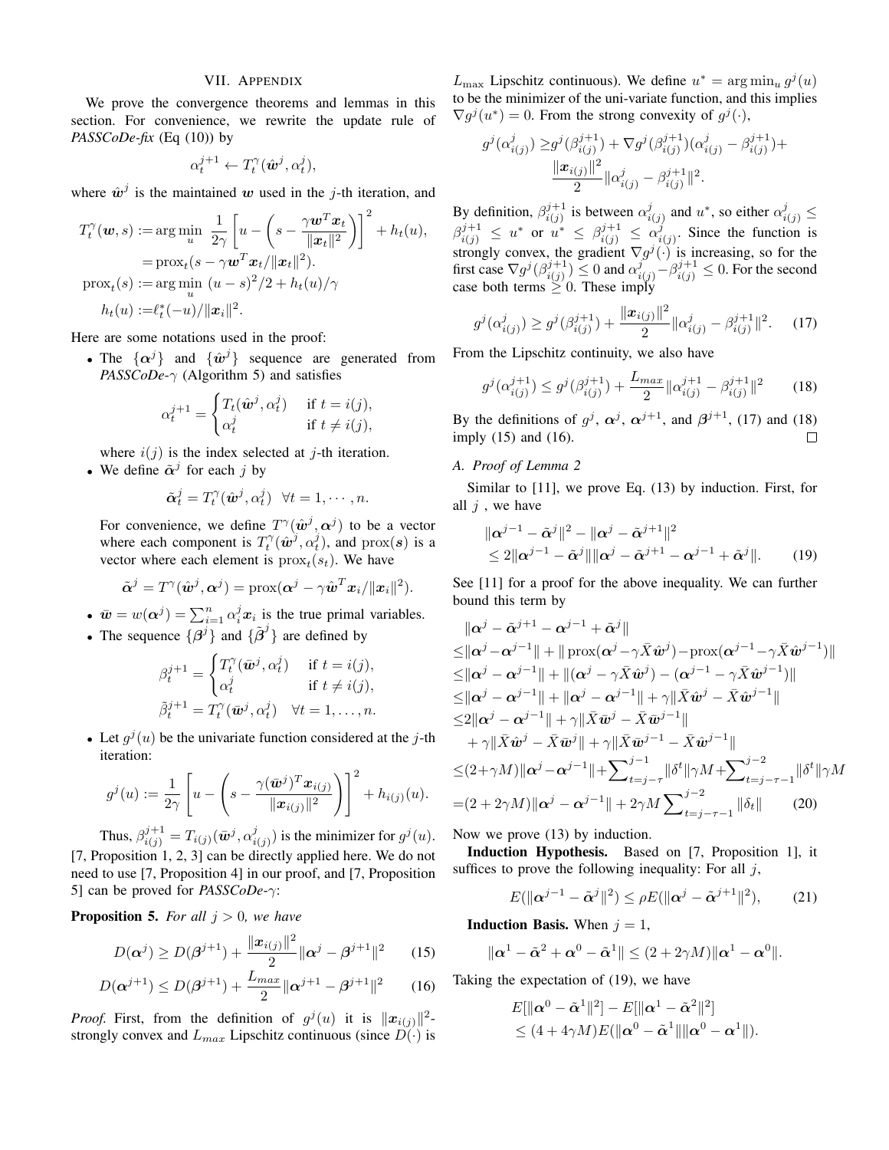#### VII. APPENDIX

We prove the convergence theorems and lemmas in this section. For convenience, we rewrite the update rule of *PASSCoDe-fix* (Eq (10)) by

$$
\alpha_t^{j+1} \leftarrow T_t^{\gamma}(\hat{\boldsymbol{w}}^j, \alpha_t^j),
$$

where  $\hat{w}^j$  is the maintained w used in the j-th iteration, and

$$
T_t^{\gamma}(\boldsymbol{w}, s) := \arg\min_{u} \frac{1}{2\gamma} \left[ u - \left( s - \frac{\gamma \boldsymbol{w}^T \boldsymbol{x}_t}{\|\boldsymbol{x}_t\|^2} \right) \right]^2 + h_t(u),
$$
  
\n
$$
= \text{prox}_t(s - \gamma \boldsymbol{w}^T \boldsymbol{x}_t / \|\boldsymbol{x}_t\|^2).
$$
  
\n
$$
\text{prox}_t(s) := \arg\min_{u} (u - s)^2 / 2 + h_t(u) / \gamma
$$
  
\n
$$
h_t(u) := \ell_t^*(-u) / \|\boldsymbol{x}_i\|^2.
$$

Here are some notations used in the proof:

• The  $\{\alpha^j\}$  and  $\{\hat{w}^j\}$  sequence are generated from *PASSCoDe-γ* (Algorithm 5) and satisfies

$$
\alpha_t^{j+1} = \begin{cases} T_t(\hat{\mathbf{w}}^j, \alpha_t^j) & \text{if } t = i(j), \\ \alpha_t^j & \text{if } t \neq i(j), \end{cases}
$$

where  $i(j)$  is the index selected at j-th iteration.

• We define  $\tilde{\alpha}^j$  for each j by

$$
\tilde{\boldsymbol{\alpha}}_t^j = T_t^{\gamma}(\hat{\boldsymbol{w}}^j, \alpha_t^j) \ \ \forall t = 1, \cdots, n.
$$

For convenience, we define  $T^{\gamma}(\hat{\boldsymbol{w}}^{j}, \boldsymbol{\alpha}^{j})$  to be a vector where each component is  $T_t^{\gamma}(\hat{\boldsymbol{w}}^j, \alpha_t^j)$ , and  $\text{prox}(\boldsymbol{s})$  is a vector where each element is  $prox<sub>t</sub>(s<sub>t</sub>)$ . We have

$$
\tilde{\boldsymbol{\alpha}}^j = T^{\gamma}(\hat{\boldsymbol{w}}^j, \boldsymbol{\alpha}^j) = \text{prox}(\boldsymbol{\alpha}^j - \gamma \hat{\boldsymbol{w}}^T \boldsymbol{x}_i / ||\boldsymbol{x}_i||^2).
$$

- $\bar{w} = w(\alpha^j) = \sum_{i=1}^n \alpha_i^j x_i$  is the true primal variables.
- The sequence  $\{\beta^j\}$  and  $\{\tilde{\beta}^j\}$  are defined by

$$
\beta_t^{j+1} = \begin{cases} T_t^{\gamma}(\bar{\mathbf{w}}^j, \alpha_t^j) & \text{if } t = i(j), \\ \alpha_t^j & \text{if } t \neq i(j), \end{cases}
$$

$$
\tilde{\beta}_t^{j+1} = T_t^{\gamma}(\bar{\mathbf{w}}^j, \alpha_t^j) \quad \forall t = 1, \dots, n.
$$

• Let  $g^{j}(u)$  be the univariate function considered at the j-th iteration:

$$
g^j(u) := \frac{1}{2\gamma} \left[ u - \left( s - \frac{\gamma(\bar{\boldsymbol{w}}^j)^T \boldsymbol{x}_{i(j)}}{\|\boldsymbol{x}_{i(j)}\|^2} \right) \right]^2 + h_{i(j)}(u).
$$

Thus,  $\beta_{i(j)}^{j+1} = T_{i(j)}(\bar{\boldsymbol{w}}^j,\alpha_i^j)$  $\binom{\hat{j}}{i(j)}$  is the minimizer for  $g^j(u)$ . [7, Proposition 1, 2, 3] can be directly applied here. We do not need to use [7, Proposition 4] in our proof, and [7, Proposition 5] can be proved for *PASSCoDe*-γ:

**Proposition 5.** *For all*  $j > 0$ *, we have* 

$$
D(\boldsymbol{\alpha}^{j}) \ge D(\boldsymbol{\beta}^{j+1}) + \frac{\|\boldsymbol{x}_{i(j)}\|^{2}}{2} \|\boldsymbol{\alpha}^{j} - \boldsymbol{\beta}^{j+1}\|^{2}
$$
 (15)

$$
D(\alpha^{j+1}) \le D(\beta^{j+1}) + \frac{L_{max}}{2} ||\alpha^{j+1} - \beta^{j+1}||^2 \qquad (16)
$$

*Proof.* First, from the definition of  $g^{j}(u)$  it is  $||\mathbf{x}_{i(j)}||^{2}$ strongly convex and  $L_{max}$  Lipschitz continuous (since  $D(\cdot)$  is

 $L_{\text{max}}$  Lipschitz continuous). We define  $u^* = \arg \min_u g^j(u)$ to be the minimizer of the uni-variate function, and this implies  $\nabla g^j(u^*) = 0$ . From the strong convexity of  $g^j(\cdot)$ ,

$$
g^{j}(\alpha_{i(j)}^{j}) \geq g^{j}(\beta_{i(j)}^{j+1}) + \nabla g^{j}(\beta_{i(j)}^{j+1})(\alpha_{i(j)}^{j} - \beta_{i(j)}^{j+1}) + \frac{\|\mathbf{x}_{i(j)}\|^{2}}{2} \|\alpha_{i(j)}^{j} - \beta_{i(j)}^{j+1}\|^{2}.
$$

By definition,  $\beta_{i(i)}^{j+1}$  $i^{j+1}_{i(j)}$  is between  $\alpha_i^j$  $i_{(j)}$  and  $u^*$ , so either  $\alpha_{i(j)}^j \leq$  $\beta^{j+1}_{i(j)} \ \le \ u^* \ \ \text{or} \ \ u^* \ \le \ \beta^{j+1}_{i(j)} \ \le \ \alpha^{j}_{i}$  $i(j)$ . Since the function is strongly convex, the gradient  $\nabla g^j(\cdot)$  is increasing, so for the first case  $\nabla g^j(\beta_{i(j)}^{j+1})$  $\begin{array}{c}\n\lambda^{(j+1)} \leq 0 \text{ and } \alpha^j_{i(j)} - \beta^{j+1}_{i(j)} \leq 0. \text{ For the second}\n\end{array}$ case both terms  $\geq 0$ . These imply

$$
g^{j}(\alpha_{i(j)}^{j}) \ge g^{j}(\beta_{i(j)}^{j+1}) + \frac{\Vert \boldsymbol{x}_{i(j)} \Vert^{2}}{2} \|\alpha_{i(j)}^{j} - \beta_{i(j)}^{j+1} \|^{2}.
$$
 (17)

From the Lipschitz continuity, we also have

$$
g^{j}(\alpha_{i(j)}^{j+1}) \le g^{j}(\beta_{i(j)}^{j+1}) + \frac{L_{max}}{2} ||\alpha_{i(j)}^{j+1} - \beta_{i(j)}^{j+1}||^{2}
$$
 (18)

By the definitions of  $g^j$ ,  $\alpha^j$ ,  $\alpha^{j+1}$ , and  $\beta^{j+1}$ , (17) and (18) imply (15) and (16).  $\Box$ 

### *A. Proof of Lemma 2*

Similar to [11], we prove Eq. (13) by induction. First, for all  $j$ , we have

$$
\|\boldsymbol{\alpha}^{j-1}-\tilde{\boldsymbol{\alpha}}^{j}\|^{2}-\|\boldsymbol{\alpha}^{j}-\tilde{\boldsymbol{\alpha}}^{j+1}\|^{2}
$$
  
\$\leq 2\|\boldsymbol{\alpha}^{j-1}-\tilde{\boldsymbol{\alpha}}^{j}\|\|\boldsymbol{\alpha}^{j}-\tilde{\boldsymbol{\alpha}}^{j+1}-\boldsymbol{\alpha}^{j-1}+\tilde{\boldsymbol{\alpha}}^{j}\|\$. (19)

See [11] for a proof for the above inequality. We can further bound this term by

$$
\|\alpha^{j} - \tilde{\alpha}^{j+1} - \alpha^{j-1} + \tilde{\alpha}^{j}\|
$$
  
\n
$$
\leq \|\alpha^{j} - \alpha^{j-1}\| + \|\text{prox}(\alpha^{j} - \gamma \bar{X}\hat{\mathbf{w}}^{j}) - \text{prox}(\alpha^{j-1} - \gamma \bar{X}\hat{\mathbf{w}}^{j-1})\|
$$
  
\n
$$
\leq \|\alpha^{j} - \alpha^{j-1}\| + \|(\alpha^{j} - \gamma \bar{X}\hat{\mathbf{w}}^{j}) - (\alpha^{j-1} - \gamma \bar{X}\hat{\mathbf{w}}^{j-1})\|
$$
  
\n
$$
\leq \|\alpha^{j} - \alpha^{j-1}\| + \|\alpha^{j} - \alpha^{j-1}\| + \gamma\|\bar{X}\hat{\mathbf{w}}^{j} - \bar{X}\hat{\mathbf{w}}^{j-1}\|
$$
  
\n
$$
\leq 2\|\alpha^{j} - \alpha^{j-1}\| + \gamma\|\bar{X}\bar{\mathbf{w}}^{j} - \bar{X}\bar{\mathbf{w}}^{j-1}\|
$$
  
\n
$$
+ \gamma\|\bar{X}\hat{\mathbf{w}}^{j} - \bar{X}\bar{\mathbf{w}}^{j}\| + \gamma\|\bar{X}\bar{\mathbf{w}}^{j-1} - \bar{X}\hat{\mathbf{w}}^{j-1}\|
$$
  
\n
$$
\leq (2 + \gamma M)\|\alpha^{j} - \alpha^{j-1}\| + \sum_{t=j-\tau}^{j-1} \|\delta^{t}\|\gamma M + \sum_{t=j-\tau-1}^{j-2} \|\delta^{t}\|\gamma M
$$
  
\n
$$
= (2 + 2\gamma M)\|\alpha^{j} - \alpha^{j-1}\| + 2\gamma M \sum_{t=j-\tau-1}^{j-2} \|\delta_{t}\|
$$
 (20)

Now we prove (13) by induction.

Induction Hypothesis. Based on [7, Proposition 1], it suffices to prove the following inequality: For all  $j$ ,

$$
E(\|\boldsymbol{\alpha}^{j-1}-\tilde{\boldsymbol{\alpha}}^{j}\|^{2}) \leq \rho E(\|\boldsymbol{\alpha}^{j}-\tilde{\boldsymbol{\alpha}}^{j+1}\|^{2}),\qquad(21)
$$

**Induction Basis.** When  $j = 1$ ,

$$
\|\boldsymbol{\alpha}^1-\tilde{\boldsymbol{\alpha}}^2+\boldsymbol{\alpha}^0-\tilde{\boldsymbol{\alpha}}^1\|\leq (2+2\gamma M)\|\boldsymbol{\alpha}^1-\boldsymbol{\alpha}^0\|.
$$

Taking the expectation of (19), we have

$$
E[\|\boldsymbol{\alpha}^0 - \tilde{\boldsymbol{\alpha}}^1\|^2] - E[\|\boldsymbol{\alpha}^1 - \tilde{\boldsymbol{\alpha}}^2\|^2] < (4 + 4\gamma M)E(\|\boldsymbol{\alpha}^0 - \tilde{\boldsymbol{\alpha}}^1\|\|\boldsymbol{\alpha}^0 - \boldsymbol{\alpha}^1\|).
$$